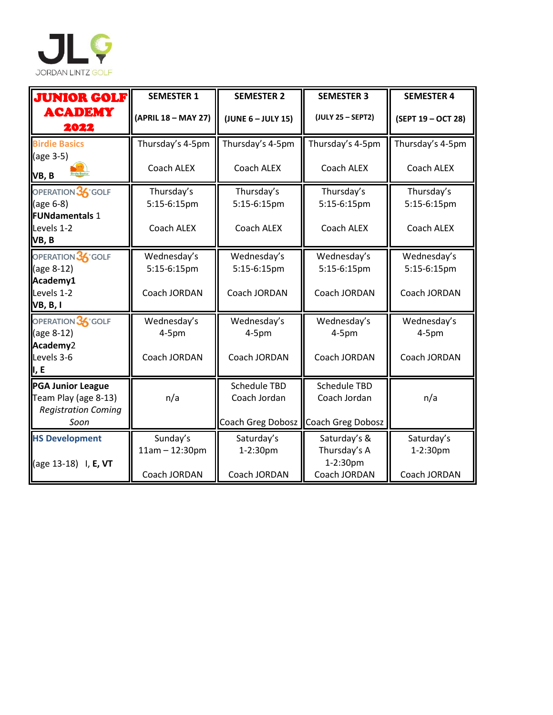

| <b>JUNIOR GOLF</b>                                                                     | <b>SEMESTER 1</b>            | <b>SEMESTER 2</b>                                                            | <b>SEMESTER 3</b>                        | <b>SEMESTER 4</b>          |
|----------------------------------------------------------------------------------------|------------------------------|------------------------------------------------------------------------------|------------------------------------------|----------------------------|
| <b>ACADEMY</b><br>2022                                                                 | (APRIL 18 - MAY 27)          | (JUNE $6$ – JULY 15)                                                         | (JULY 25 - SEPT2)                        | (SEPT 19 - OCT 28)         |
| <b>Birdie Basics</b>                                                                   | Thursday's 4-5pm             | Thursday's 4-5pm                                                             | Thursday's 4-5pm                         | Thursday's 4-5pm           |
| (age 3-5)<br>VB, B                                                                     | Coach ALEX                   | Coach ALEX                                                                   | Coach ALEX                               | Coach ALEX                 |
| OPERATION 36° GOLF<br>(age 6-8)<br><b>FUNdamentals 1</b>                               | Thursday's<br>5:15-6:15pm    | Thursday's<br>5:15-6:15pm                                                    | Thursday's<br>5:15-6:15pm                | Thursday's<br>5:15-6:15pm  |
| Levels 1-2<br>VB, B                                                                    | Coach ALEX                   | Coach ALEX                                                                   | Coach ALEX                               | Coach ALEX                 |
| OPERATION 36° GOLF<br>(age 8-12)<br>Academy1                                           | Wednesday's<br>5:15-6:15pm   | Wednesday's<br>5:15-6:15pm                                                   | Wednesday's<br>5:15-6:15pm               | Wednesday's<br>5:15-6:15pm |
| Levels 1-2<br>VB, B, I                                                                 | Coach JORDAN                 | Coach JORDAN                                                                 | Coach JORDAN                             | Coach JORDAN               |
| OPERATION 36° GOLF<br>(age 8-12)<br>Academy2                                           | Wednesday's<br>$4-5pm$       | Wednesday's<br>$4-5pm$                                                       | Wednesday's<br>$4-5pm$                   | Wednesday's<br>$4-5pm$     |
| Levels 3-6<br>ı, E                                                                     | Coach JORDAN                 | Coach JORDAN                                                                 | Coach JORDAN                             | Coach JORDAN               |
| <b>PGA Junior League</b><br>Team Play (age 8-13)<br><b>Registration Coming</b><br>Soon | n/a                          | <b>Schedule TBD</b><br>Coach Jordan<br>Coach Greg Dobosz   Coach Greg Dobosz | <b>Schedule TBD</b><br>Coach Jordan      | n/a                        |
| <b>HS Development</b><br>(age 13-18) I, E, VT                                          | Sunday's<br>$11am - 12:30pm$ | Saturday's<br>1-2:30pm                                                       | Saturday's &<br>Thursday's A<br>1-2:30pm | Saturday's<br>1-2:30pm     |
|                                                                                        | Coach JORDAN                 | Coach JORDAN                                                                 | Coach JORDAN                             | Coach JORDAN               |